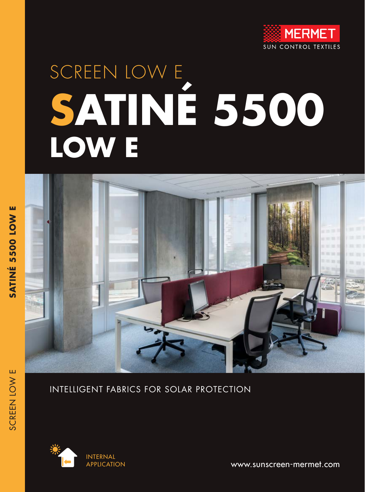

# SCREEN LOW E **SATINÉ 5500 LOW E**



#### INTELLIGENT FABRICS FOR SOLAR PROTECTION



www.sunscreen-mermet.com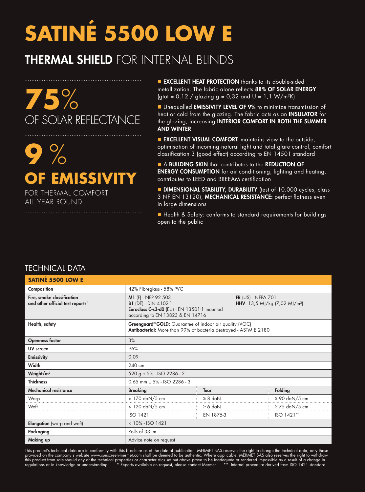# **SATINÉ 5500 LOW E**

### THERMAL SHIELD FOR INTERNAL BLINDS

. . . . . . . . . . . . . . . .

## **75**% OF SOLAR REFLECTANCE

# **9** % **OF EMISSIVITY**

FOR THERMAL COMFORT ALL YEAR ROUND

**EXCELLENT HEAT PROTECTION** thanks to its double-sided metallization. The fabric alone reflects 88% OF SOLAR ENERGY (gtot =  $0.12 /$  glazing g =  $0.32$  and U =  $1.1$  W/m<sup>2</sup>K)

**n** Unequalled **EMISSIVITY LEVEL OF 9%** to minimize transmission of heat or cold from the glazing. The fabric acts as an INSULATOR for the glazing, increasing INTERIOR COMFORT IN BOTH THE SUMMER AND WINTER

**EXCELLENT VISUAL COMFORT:** maintains view to the outside, optimisation of incoming natural light and total glare control, comfort classification 3 (good effect) according to EN 14501 standard

A BUILDING SKIN that contributes to the REDUCTION OF **ENERGY CONSUMPTION** for air conditioning, lighting and heating, contributes to LEED and BREEAM certification

**DIMENSIONAL STABILITY, DURABILITY** (test of 10.000 cycles, class 3 NF EN 13120), MECHANICAL RESISTANCE: perfect flatness even in large dimensions

■ Health & Safety: conforms to standard requirements for buildings open to the public

#### TECHNICAL DATA

| <b>SATINÉ 5500 LOW E</b>                                       |                                                                                                                                                                                                              |              |                    |  |  |  |
|----------------------------------------------------------------|--------------------------------------------------------------------------------------------------------------------------------------------------------------------------------------------------------------|--------------|--------------------|--|--|--|
| Composition                                                    | 42% Fibreglass - 58% PVC                                                                                                                                                                                     |              |                    |  |  |  |
| Fire, smoke classification<br>and other official test reports* | M1 (F) - NFP 92 503<br>FR $(US)$ - NFPA $701$<br><b>B1</b> (DE) - DIN 4102-1<br>HHV: 13,5 MJ/kg (7,02 MJ/m <sup>2</sup> )<br>Euroclass C-s3-d0 (EU) - EN 13501-1 mounted<br>according to EN 13823 & EN 14716 |              |                    |  |  |  |
| Health, safety                                                 | Greenguard® GOLD: Guarantee of indoor air quality (VOC)<br>Antibacterial: More than 99% of bacteria destroyed - ASTM E 2180                                                                                  |              |                    |  |  |  |
| <b>Openness factor</b>                                         | 3%                                                                                                                                                                                                           |              |                    |  |  |  |
| <b>UV</b> screen                                               | 96%                                                                                                                                                                                                          |              |                    |  |  |  |
| <b>Emissivity</b>                                              | 0,09                                                                                                                                                                                                         |              |                    |  |  |  |
| Width                                                          | 240 cm                                                                                                                                                                                                       |              |                    |  |  |  |
| Weight/m <sup>2</sup>                                          | $520 g \pm 5\%$ - ISO 2286 - 2                                                                                                                                                                               |              |                    |  |  |  |
| <b>Thickness</b>                                               | $0,65$ mm $\pm$ 5% - ISO 2286 - 3                                                                                                                                                                            |              |                    |  |  |  |
| <b>Mechanical resistance</b>                                   | <b>Breaking</b>                                                                                                                                                                                              | <b>Tear</b>  | <b>Folding</b>     |  |  |  |
| Warp                                                           | > 170 daN/5 cm                                                                                                                                                                                               | $\geq 8$ daN | $\geq 90$ daN/5 cm |  |  |  |
| Weft                                                           | > 120 daN/5 cm                                                                                                                                                                                               | $\geq 6$ daN | $\geq$ 75 daN/5 cm |  |  |  |
|                                                                | ISO 1421                                                                                                                                                                                                     | EN 1875-3    | ISO 1421**         |  |  |  |
| Elongation (warp and weft)                                     | $< 10\% - ISO 1421$                                                                                                                                                                                          |              |                    |  |  |  |
| Packaging                                                      | Rolls of 33 Im                                                                                                                                                                                               |              |                    |  |  |  |
| Making up                                                      | Advice note on request                                                                                                                                                                                       |              |                    |  |  |  |

This product's technical data are in conformity with this brochure as of the date of publication. MERMET SAS reserves the right to change the technical data; only those provided on the company's website www.sunscreen-mermet.com shall be deemed to be authentic. Where applicable, MERMET SAS also reserves the right to withdraw this product from sale should any of the technical properties or characteristics set out above prove to be inadequate or rendered impossible as a result of a change in regulations or in knowledge or understanding. \* Reports available on request, please contact Mermet \*\* Internal procedure derived from ISO 1421 standard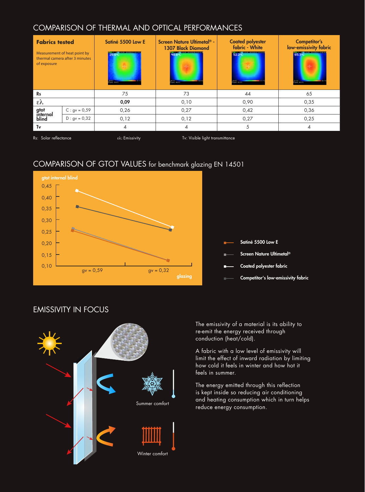#### COMPARISON OF THERMAL AND OPTICAL PERFORMANCES

| <b>Fabrics tested</b><br>Measurement of heat point by<br>thermal camera after 3 minutes<br>of exposure |                 | Satiné 5500 Low E | Screen Nature Ultimetal <sup>®</sup> -<br><b>1307 Black Diamond</b><br><b>Printer</b> | <b>Coated polyester</b><br>fabric - White<br>52.2% | Competitor's<br>low-emissivity fabric<br><b>15512</b><br><b>Marine</b> |
|--------------------------------------------------------------------------------------------------------|-----------------|-------------------|---------------------------------------------------------------------------------------|----------------------------------------------------|------------------------------------------------------------------------|
| <b>Rs</b>                                                                                              |                 | 75                | 73                                                                                    |                                                    | 65                                                                     |
| ελ                                                                                                     |                 | 0,09              | 0,10                                                                                  |                                                    | 0,35                                                                   |
| gtot<br>internal                                                                                       | $C: gv = 0,59$  | 0,26              | 0,27                                                                                  | 0,42                                               | 0,36                                                                   |
| blind                                                                                                  | $D : gv = 0,32$ | 0,12              | 0,12                                                                                  | 0,27                                               | 0,25                                                                   |
| Tv                                                                                                     |                 | $\overline{4}$    | 4                                                                                     | 5                                                  | 4                                                                      |
| Rs: Solar reflectance                                                                                  |                 | ελ: Emissivity    | Tv: Visible light transmittance                                                       |                                                    |                                                                        |

COMPARISON OF GTOT VALUES for benchmark glazing EN 14501



#### EMISSIVITY IN FOCUS



The emissivity of a material is its ability to re-emit the energy received through conduction (heat/cold).

A fabric with a low level of emissivity will limit the effect of inward radiation by limiting how cold it feels in winter and how hot it feels in summer.

The energy emitted through this reflection is kept inside so reducing air conditioning and heating consumption which in turn helps reduce energy consumption.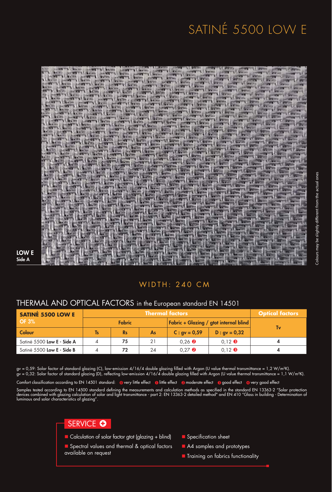## SATINÉ 5500 LOW E



#### LOW E Side A

#### WIDTH: 240 CM

#### THERMAL AND OPTICAL FACTORS in the European standard EN 14501

| <b>SATINÉ 5500 LOW E</b>   | . Thermal factors $^{\shortmid}$ |           |                                               |                                      | <b>Optical factors</b> |    |
|----------------------------|----------------------------------|-----------|-----------------------------------------------|--------------------------------------|------------------------|----|
| <b>OF 3%</b>               | <b>Fabric</b>                    |           | <b>Fabric + Glazing / gtot internal blind</b> |                                      |                        |    |
| Colour                     | <b>Ts</b>                        | <b>Rs</b> | As                                            | $C: gy = 0.59$                       | $D: gy = 0.32$         | Tv |
| Satiné 5500 Low E - Side A | 4                                | 75        | 21                                            | $0.26$ <b><math>\odot</math></b>     | $0.12$ $\bullet$       |    |
| Satiné 5500 Low E - Side B | 4                                | 72        | 24                                            | $0.27$ <sup><math>\odot</math></sup> | $0.12$ $\bullet$       |    |

gv = 0,59: Solar factor of standard glazing (C), low-emission 4/16/4 double glazing filled with Argon (U value thermal transmittance = 1,2 W/m²K). gv = 0,32: Solar factor of standard glazing (D), reflecting low-emission 4/16/4 double glazing filled with Argon (U value thermal transmittance = 1,1 W/m²K).

Comfort classification according to EN 14501 standard: @very little effect @little effect @moderate effect @good effect @very good effect

Samples tested according to EN 14500 standard defining the measurements and calculation methods as specified in the standard EN 13363-2 "Solar protection devices combined with glazing calculation of solar and light transmittance - part 2: EN 13363-2 detailed method" and EN 410 "Glass in building - Determination of luminous and solar characteristics of glazing".



 $\blacksquare$  Calculation of solar factor gtot (glazing + blind)

Spectral values and thermal & optical factors available on request

- **n** Specification sheet
- A4 samples and prototypes
- **n** Training on fabrics functionality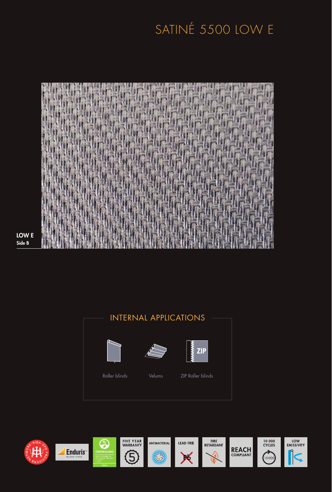### SATINÉ 5500 LOW E



LOW E Side B

#### INTERNAL APPLICATIONS